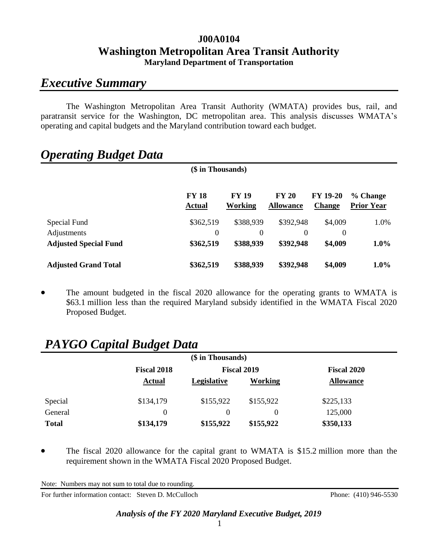### **J00A0104 Washington Metropolitan Area Transit Authority Maryland Department of Transportation**

## *Executive Summary*

The Washington Metropolitan Area Transit Authority (WMATA) provides bus, rail, and paratransit service for the Washington, DC metropolitan area. This analysis discusses WMATA's operating and capital budgets and the Maryland contribution toward each budget.

# *Operating Budget Data*

| (\$ in Thousands)            |                               |                         |                                  |                                  |                               |
|------------------------------|-------------------------------|-------------------------|----------------------------------|----------------------------------|-------------------------------|
|                              | <b>FY 18</b><br><b>Actual</b> | <b>FY 19</b><br>Working | <b>FY 20</b><br><b>Allowance</b> | <b>FY 19-20</b><br><b>Change</b> | % Change<br><b>Prior Year</b> |
| Special Fund                 | \$362,519                     | \$388,939               | \$392,948                        | \$4,009                          | 1.0%                          |
| Adjustments                  | $\theta$                      | 0                       | 0                                | $\boldsymbol{0}$                 |                               |
| <b>Adjusted Special Fund</b> | \$362,519                     | \$388,939               | \$392,948                        | \$4,009                          | $1.0\%$                       |
| <b>Adjusted Grand Total</b>  | \$362,519                     | \$388,939               | \$392,948                        | \$4,009                          | $1.0\%$                       |

 The amount budgeted in the fiscal 2020 allowance for the operating grants to WMATA is \$63.1 million less than the required Maryland subsidy identified in the WMATA Fiscal 2020 Proposed Budget.

# *PAYGO Capital Budget Data*

| (\$ in Thousands) |                    |                    |                    |                    |  |
|-------------------|--------------------|--------------------|--------------------|--------------------|--|
|                   | <b>Fiscal 2018</b> |                    | <b>Fiscal 2019</b> | <b>Fiscal 2020</b> |  |
|                   | <b>Actual</b>      | <b>Legislative</b> | Working            | <b>Allowance</b>   |  |
| Special           | \$134,179          | \$155,922          | \$155,922          | \$225,133          |  |
| General           | 0                  |                    | 0                  | 125,000            |  |
| <b>Total</b>      | \$134,179          | \$155,922          | \$155,922          | \$350,133          |  |

 The fiscal 2020 allowance for the capital grant to WMATA is \$15.2 million more than the requirement shown in the WMATA Fiscal 2020 Proposed Budget.

Note: Numbers may not sum to total due to rounding.

For further information contact: Steven D. McCulloch Phone: (410) 946-5530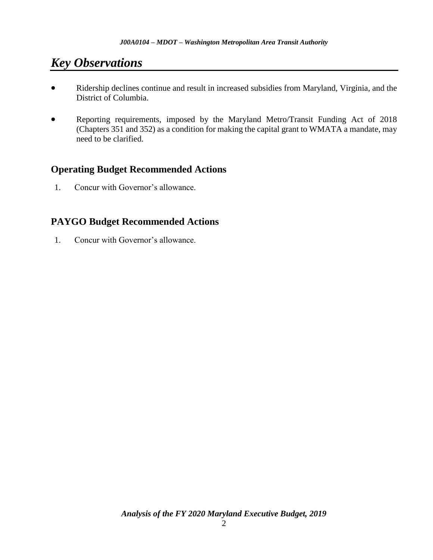# *Key Observations*

- Ridership declines continue and result in increased subsidies from Maryland, Virginia, and the District of Columbia.
- Reporting requirements, imposed by the Maryland Metro/Transit Funding Act of 2018 (Chapters 351 and 352) as a condition for making the capital grant to WMATA a mandate, may need to be clarified.

### **Operating Budget Recommended Actions**

1. Concur with Governor's allowance.

### **PAYGO Budget Recommended Actions**

1. Concur with Governor's allowance.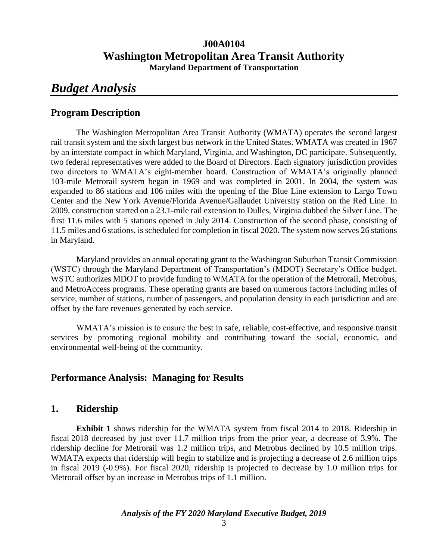### **J00A0104 Washington Metropolitan Area Transit Authority Maryland Department of Transportation**

## *Budget Analysis*

### **Program Description**

The Washington Metropolitan Area Transit Authority (WMATA) operates the second largest rail transit system and the sixth largest bus network in the United States. WMATA was created in 1967 by an interstate compact in which Maryland, Virginia, and Washington, DC participate. Subsequently, two federal representatives were added to the Board of Directors. Each signatory jurisdiction provides two directors to WMATA's eight-member board. Construction of WMATA's originally planned 103-mile Metrorail system began in 1969 and was completed in 2001. In 2004, the system was expanded to 86 stations and 106 miles with the opening of the Blue Line extension to Largo Town Center and the New York Avenue/Florida Avenue/Gallaudet University station on the Red Line. In 2009, construction started on a 23.1-mile rail extension to Dulles, Virginia dubbed the Silver Line. The first 11.6 miles with 5 stations opened in July 2014. Construction of the second phase, consisting of 11.5 miles and 6 stations, is scheduled for completion in fiscal 2020. The system now serves 26 stations in Maryland.

Maryland provides an annual operating grant to the Washington Suburban Transit Commission (WSTC) through the Maryland Department of Transportation's (MDOT) Secretary's Office budget. WSTC authorizes MDOT to provide funding to WMATA for the operation of the Metrorail, Metrobus, and MetroAccess programs. These operating grants are based on numerous factors including miles of service, number of stations, number of passengers, and population density in each jurisdiction and are offset by the fare revenues generated by each service.

WMATA's mission is to ensure the best in safe, reliable, cost-effective, and responsive transit services by promoting regional mobility and contributing toward the social, economic, and environmental well-being of the community.

### **Performance Analysis: Managing for Results**

### **1. Ridership**

**Exhibit 1** shows ridership for the WMATA system from fiscal 2014 to 2018. Ridership in fiscal 2018 decreased by just over 11.7 million trips from the prior year, a decrease of 3.9%. The ridership decline for Metrorail was 1.2 million trips, and Metrobus declined by 10.5 million trips. WMATA expects that ridership will begin to stabilize and is projecting a decrease of 2.6 million trips in fiscal 2019 (-0.9%). For fiscal 2020, ridership is projected to decrease by 1.0 million trips for Metrorail offset by an increase in Metrobus trips of 1.1 million.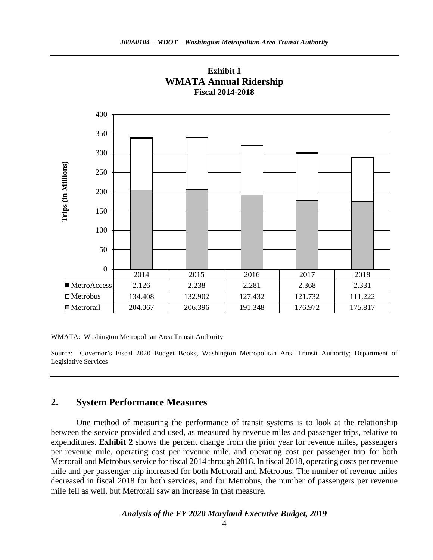



WMATA: Washington Metropolitan Area Transit Authority

Source: Governor's Fiscal 2020 Budget Books, Washington Metropolitan Area Transit Authority; Department of Legislative Services

### **2. System Performance Measures**

One method of measuring the performance of transit systems is to look at the relationship between the service provided and used, as measured by revenue miles and passenger trips, relative to expenditures. **Exhibit 2** shows the percent change from the prior year for revenue miles, passengers per revenue mile, operating cost per revenue mile, and operating cost per passenger trip for both Metrorail and Metrobus service for fiscal 2014 through 2018. In fiscal 2018, operating costs per revenue mile and per passenger trip increased for both Metrorail and Metrobus. The number of revenue miles decreased in fiscal 2018 for both services, and for Metrobus, the number of passengers per revenue mile fell as well, but Metrorail saw an increase in that measure.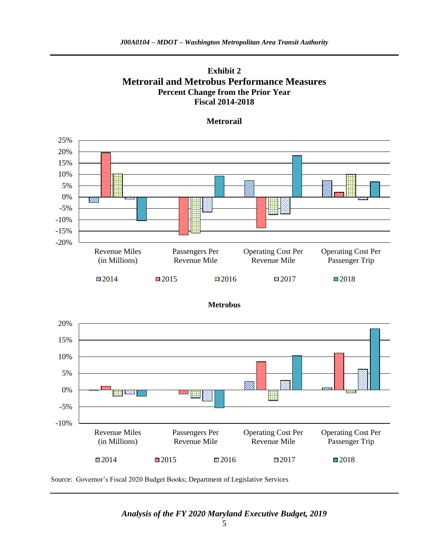



#### **Metrorail**

20% 15% 10% 5% ZZ. 0% ₩ -5% -10% Revenue Miles Passengers Per Operating Cost Per Operating Cost Per (in Millions) Revenue Mile Revenue Mile Passenger Trip 2014 **2015** 2016 2017 2018

**Metrobus**

Source: Governor's Fiscal 2020 Budget Books; Department of Legislative Services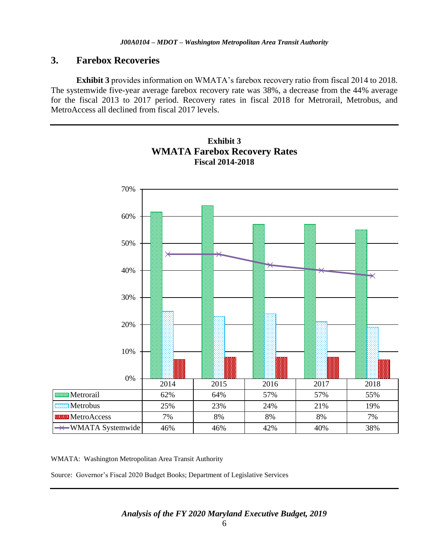### **3. Farebox Recoveries**

**Exhibit 3** provides information on WMATA's farebox recovery ratio from fiscal 2014 to 2018. The systemwide five-year average farebox recovery rate was 38%, a decrease from the 44% average for the fiscal 2013 to 2017 period. Recovery rates in fiscal 2018 for Metrorail, Metrobus, and MetroAccess all declined from fiscal 2017 levels.



### **Exhibit 3 WMATA Farebox Recovery Rates Fiscal 2014-2018**

WMATA: Washington Metropolitan Area Transit Authority

Source: Governor's Fiscal 2020 Budget Books; Department of Legislative Services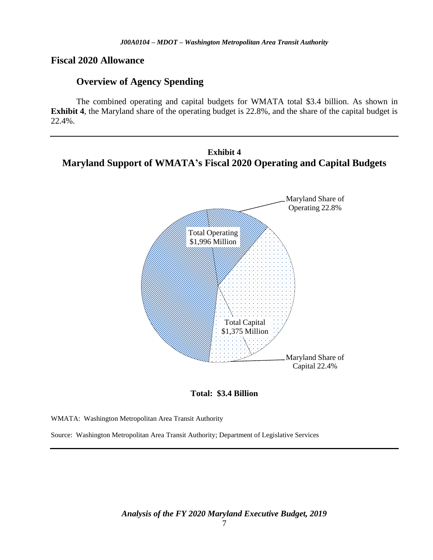#### **Fiscal 2020 Allowance**

### **Overview of Agency Spending**

The combined operating and capital budgets for WMATA total \$3.4 billion. As shown in **Exhibit 4**, the Maryland share of the operating budget is 22.8%, and the share of the capital budget is 22.4%.

### **Exhibit 4 Maryland Support of WMATA's Fiscal 2020 Operating and Capital Budgets**



**Total: \$3.4 Billion**

WMATA: Washington Metropolitan Area Transit Authority

Source: Washington Metropolitan Area Transit Authority; Department of Legislative Services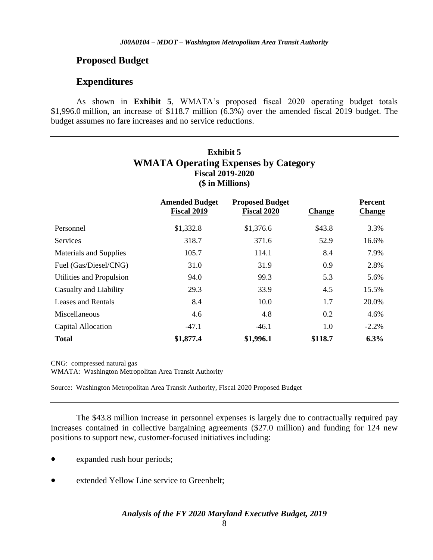### **Proposed Budget**

### **Expenditures**

As shown in **Exhibit 5**, WMATA's proposed fiscal 2020 operating budget totals \$1,996.0 million, an increase of \$118.7 million (6.3%) over the amended fiscal 2019 budget. The budget assumes no fare increases and no service reductions.

### **Exhibit 5 WMATA Operating Expenses by Category Fiscal 2019-2020 (\$ in Millions)**

|                           | <b>Amended Budget</b><br>Fiscal 2019 | <b>Proposed Budget</b><br><b>Fiscal 2020</b> | <b>Change</b> | Percent<br><b>Change</b> |
|---------------------------|--------------------------------------|----------------------------------------------|---------------|--------------------------|
| Personnel                 | \$1,332.8                            | \$1,376.6                                    | \$43.8        | 3.3%                     |
| <b>Services</b>           | 318.7                                | 371.6                                        | 52.9          | 16.6%                    |
| Materials and Supplies    | 105.7                                | 114.1                                        | 8.4           | 7.9%                     |
| Fuel (Gas/Diesel/CNG)     | 31.0                                 | 31.9                                         | 0.9           | 2.8%                     |
| Utilities and Propulsion  | 94.0                                 | 99.3                                         | 5.3           | 5.6%                     |
| Casualty and Liability    | 29.3                                 | 33.9                                         | 4.5           | 15.5%                    |
| <b>Leases and Rentals</b> | 8.4                                  | 10.0                                         | 1.7           | 20.0%                    |
| Miscellaneous             | 4.6                                  | 4.8                                          | 0.2           | 4.6%                     |
| Capital Allocation        | $-47.1$                              | $-46.1$                                      | 1.0           | $-2.2%$                  |
| <b>Total</b>              | \$1,877.4                            | \$1,996.1                                    | \$118.7       | 6.3%                     |

CNG: compressed natural gas WMATA: Washington Metropolitan Area Transit Authority

Source: Washington Metropolitan Area Transit Authority, Fiscal 2020 Proposed Budget

The \$43.8 million increase in personnel expenses is largely due to contractually required pay increases contained in collective bargaining agreements (\$27.0 million) and funding for 124 new positions to support new, customer-focused initiatives including:

- expanded rush hour periods;
- extended Yellow Line service to Greenbelt;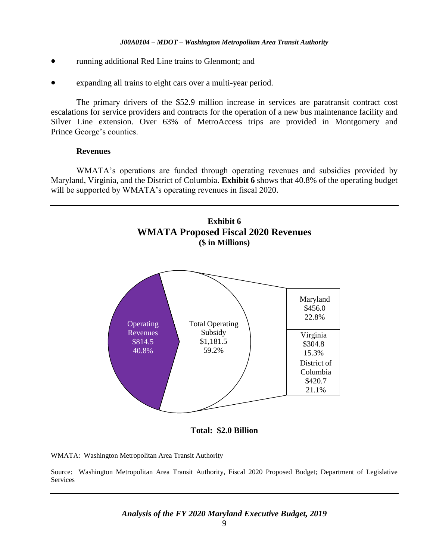- running additional Red Line trains to Glenmont; and
- expanding all trains to eight cars over a multi-year period.

The primary drivers of the \$52.9 million increase in services are paratransit contract cost escalations for service providers and contracts for the operation of a new bus maintenance facility and Silver Line extension. Over 63% of MetroAccess trips are provided in Montgomery and Prince George's counties.

#### **Revenues**

WMATA's operations are funded through operating revenues and subsidies provided by Maryland, Virginia, and the District of Columbia. **Exhibit 6** shows that 40.8% of the operating budget will be supported by WMATA's operating revenues in fiscal 2020.



**Total: \$2.0 Billion**

WMATA: Washington Metropolitan Area Transit Authority

Source: Washington Metropolitan Area Transit Authority, Fiscal 2020 Proposed Budget; Department of Legislative **Services**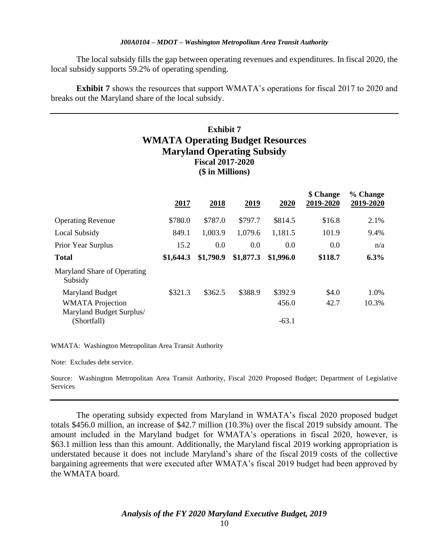The local subsidy fills the gap between operating revenues and expenditures. In fiscal 2020, the local subsidy supports 59.2% of operating spending.

**Exhibit 7** shows the resources that support WMATA's operations for fiscal 2017 to 2020 and breaks out the Maryland share of the local subsidy.

### **Exhibit 7 WMATA Operating Budget Resources Maryland Operating Subsidy Fiscal 2017-2020 (\$ in Millions)**

|                                        | 2017      | 2018      | 2019      | 2020      | \$ Change<br>2019-2020 | % Change<br>2019-2020 |
|----------------------------------------|-----------|-----------|-----------|-----------|------------------------|-----------------------|
| <b>Operating Revenue</b>               | \$780.0   | \$787.0   | \$797.7   | \$814.5   | \$16.8                 | 2.1%                  |
| Local Subsidy                          | 849.1     | 1,003.9   | 1,079.6   | 1,181.5   | 101.9                  | 9.4%                  |
| Prior Year Surplus                     | 15.2      | 0.0       | 0.0       | 0.0       | 0.0                    | n/a                   |
| <b>Total</b>                           | \$1,644.3 | \$1,790.9 | \$1,877.3 | \$1,996.0 | \$118.7                | 6.3%                  |
| Maryland Share of Operating<br>Subsidy |           |           |           |           |                        |                       |
| Maryland Budget                        | \$321.3   | \$362.5   | \$388.9   | \$392.9   | \$4.0                  | 1.0%                  |
| <b>WMATA</b> Projection                |           |           |           | 456.0     | 42.7                   | 10.3%                 |
| Maryland Budget Surplus/               |           |           |           |           |                        |                       |
| (Shortfall)                            |           |           |           | $-63.1$   |                        |                       |

WMATA: Washington Metropolitan Area Transit Authority

Note: Excludes debt service.

Source: Washington Metropolitan Area Transit Authority, Fiscal 2020 Proposed Budget; Department of Legislative Services

The operating subsidy expected from Maryland in WMATA's fiscal 2020 proposed budget totals \$456.0 million, an increase of \$42.7 million (10.3%) over the fiscal 2019 subsidy amount. The amount included in the Maryland budget for WMATA's operations in fiscal 2020, however, is \$63.1 million less than this amount. Additionally, the Maryland fiscal 2019 working appropriation is understated because it does not include Maryland's share of the fiscal 2019 costs of the collective bargaining agreements that were executed after WMATA's fiscal 2019 budget had been approved by the WMATA board.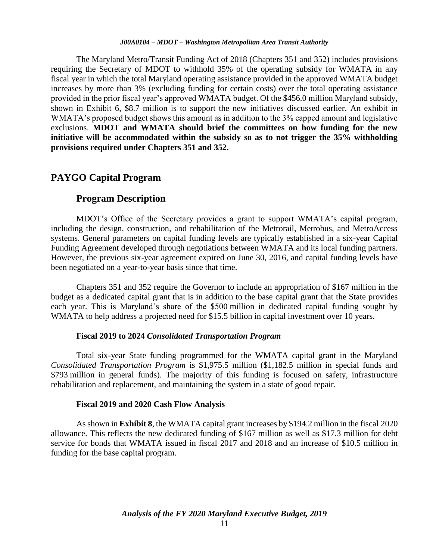The Maryland Metro/Transit Funding Act of 2018 (Chapters 351 and 352) includes provisions requiring the Secretary of MDOT to withhold 35% of the operating subsidy for WMATA in any fiscal year in which the total Maryland operating assistance provided in the approved WMATA budget increases by more than 3% (excluding funding for certain costs) over the total operating assistance provided in the prior fiscal year's approved WMATA budget. Of the \$456.0 million Maryland subsidy, shown in Exhibit 6, \$8.7 million is to support the new initiatives discussed earlier. An exhibit in WMATA's proposed budget shows this amount as in addition to the 3% capped amount and legislative exclusions. **MDOT and WMATA should brief the committees on how funding for the new initiative will be accommodated within the subsidy so as to not trigger the 35% withholding provisions required under Chapters 351 and 352.**

### **PAYGO Capital Program**

#### **Program Description**

MDOT's Office of the Secretary provides a grant to support WMATA's capital program, including the design, construction, and rehabilitation of the Metrorail, Metrobus, and MetroAccess systems. General parameters on capital funding levels are typically established in a six-year Capital Funding Agreement developed through negotiations between WMATA and its local funding partners. However, the previous six-year agreement expired on June 30, 2016, and capital funding levels have been negotiated on a year-to-year basis since that time.

Chapters 351 and 352 require the Governor to include an appropriation of \$167 million in the budget as a dedicated capital grant that is in addition to the base capital grant that the State provides each year. This is Maryland's share of the \$500 million in dedicated capital funding sought by WMATA to help address a projected need for \$15.5 billion in capital investment over 10 years.

#### **Fiscal 2019 to 2024** *Consolidated Transportation Program*

Total six-year State funding programmed for the WMATA capital grant in the Maryland *Consolidated Transportation Program* is \$1,975.5 million (\$1,182.5 million in special funds and \$793 million in general funds). The majority of this funding is focused on safety, infrastructure rehabilitation and replacement, and maintaining the system in a state of good repair.

#### **Fiscal 2019 and 2020 Cash Flow Analysis**

As shown in **Exhibit 8**, the WMATA capital grant increases by \$194.2 million in the fiscal 2020 allowance. This reflects the new dedicated funding of \$167 million as well as \$17.3 million for debt service for bonds that WMATA issued in fiscal 2017 and 2018 and an increase of \$10.5 million in funding for the base capital program.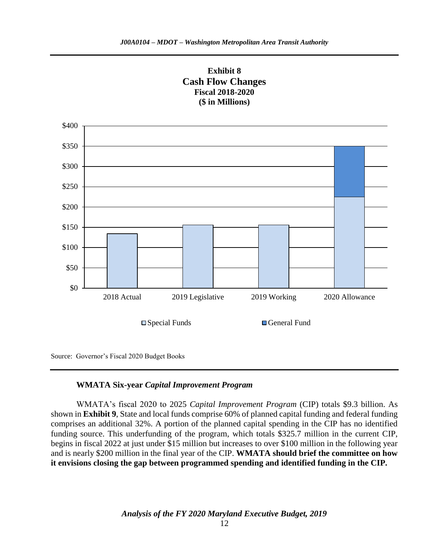

### **WMATA Six-year** *Capital Improvement Program*

WMATA's fiscal 2020 to 2025 *Capital Improvement Program* (CIP) totals \$9.3 billion. As shown in **Exhibit 9**, State and local funds comprise 60% of planned capital funding and federal funding comprises an additional 32%. A portion of the planned capital spending in the CIP has no identified funding source. This underfunding of the program, which totals \$325.7 million in the current CIP, begins in fiscal 2022 at just under \$15 million but increases to over \$100 million in the following year and is nearly \$200 million in the final year of the CIP. **WMATA should brief the committee on how it envisions closing the gap between programmed spending and identified funding in the CIP.**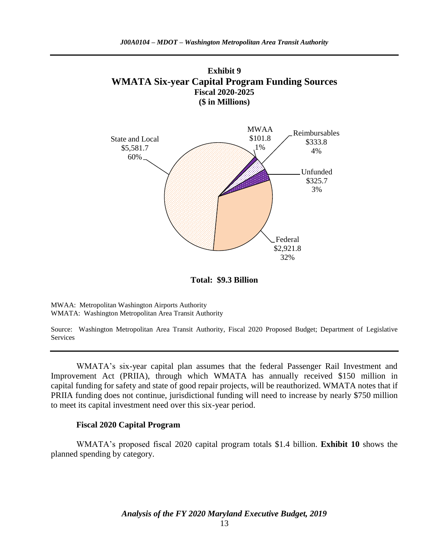

**Total: \$9.3 Billion**

MWAA: Metropolitan Washington Airports Authority WMATA: Washington Metropolitan Area Transit Authority

Source: Washington Metropolitan Area Transit Authority, Fiscal 2020 Proposed Budget; Department of Legislative Services

WMATA's six-year capital plan assumes that the federal Passenger Rail Investment and Improvement Act (PRIIA), through which WMATA has annually received \$150 million in capital funding for safety and state of good repair projects, will be reauthorized. WMATA notes that if PRIIA funding does not continue, jurisdictional funding will need to increase by nearly \$750 million to meet its capital investment need over this six-year period.

#### **Fiscal 2020 Capital Program**

WMATA's proposed fiscal 2020 capital program totals \$1.4 billion. **Exhibit 10** shows the planned spending by category.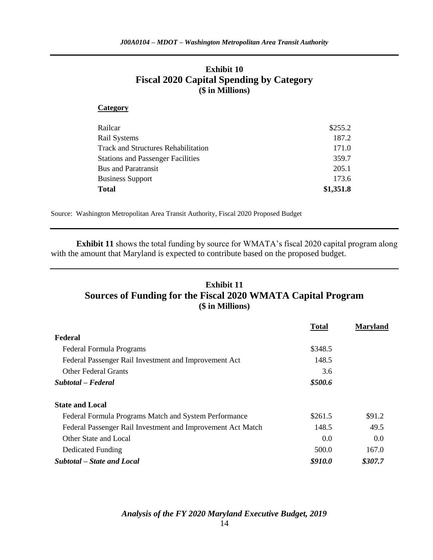### **Exhibit 10 Fiscal 2020 Capital Spending by Category (\$ in Millions)**

#### **Category**

| Railcar                                    | \$255.2   |
|--------------------------------------------|-----------|
| <b>Rail Systems</b>                        | 187.2     |
| <b>Track and Structures Rehabilitation</b> | 171.0     |
| <b>Stations and Passenger Facilities</b>   | 359.7     |
| <b>Bus and Paratransit</b>                 | 205.1     |
| <b>Business Support</b>                    | 173.6     |
| <b>Total</b>                               | \$1,351.8 |

Source: Washington Metropolitan Area Transit Authority, Fiscal 2020 Proposed Budget

**Exhibit 11** shows the total funding by source for WMATA's fiscal 2020 capital program along with the amount that Maryland is expected to contribute based on the proposed budget.

### **Exhibit 11 Sources of Funding for the Fiscal 2020 WMATA Capital Program (\$ in Millions)**

|                                                             | <b>Total</b> | <b>Maryland</b> |
|-------------------------------------------------------------|--------------|-----------------|
| Federal                                                     |              |                 |
| Federal Formula Programs                                    | \$348.5      |                 |
| Federal Passenger Rail Investment and Improvement Act       | 148.5        |                 |
| <b>Other Federal Grants</b>                                 | 3.6          |                 |
| Subtotal – Federal                                          | \$500.6      |                 |
| <b>State and Local</b>                                      |              |                 |
| Federal Formula Programs Match and System Performance       | \$261.5      | \$91.2          |
| Federal Passenger Rail Investment and Improvement Act Match | 148.5        | 49.5            |
| Other State and Local                                       | 0.0          | 0.0             |
| Dedicated Funding                                           | 500.0        | 167.0           |
| Subtotal – State and Local                                  | \$910.0      | \$307.7         |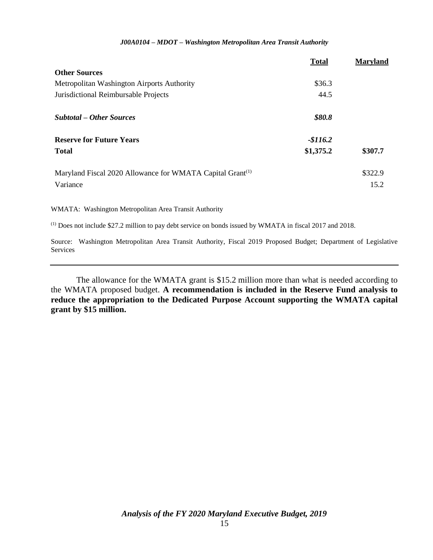|                                                                       | <b>Total</b> | <b>Maryland</b> |
|-----------------------------------------------------------------------|--------------|-----------------|
| <b>Other Sources</b>                                                  |              |                 |
| Metropolitan Washington Airports Authority                            | \$36.3       |                 |
| Jurisdictional Reimbursable Projects                                  | 44.5         |                 |
| <b>Subtotal – Other Sources</b>                                       | \$80.8       |                 |
| <b>Reserve for Future Years</b>                                       | $-$116.2$    |                 |
| <b>Total</b>                                                          | \$1,375.2    | \$307.7         |
| Maryland Fiscal 2020 Allowance for WMATA Capital Grant <sup>(1)</sup> |              | \$322.9         |
| Variance                                                              |              | 15.2            |

WMATA: Washington Metropolitan Area Transit Authority

(1) Does not include \$27.2 million to pay debt service on bonds issued by WMATA in fiscal 2017 and 2018.

Source: Washington Metropolitan Area Transit Authority, Fiscal 2019 Proposed Budget; Department of Legislative Services

The allowance for the WMATA grant is \$15.2 million more than what is needed according to the WMATA proposed budget. **A recommendation is included in the Reserve Fund analysis to reduce the appropriation to the Dedicated Purpose Account supporting the WMATA capital grant by \$15 million.**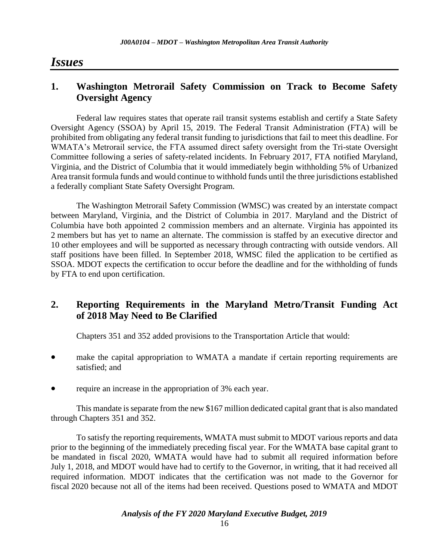## *Issues*

### **1. Washington Metrorail Safety Commission on Track to Become Safety Oversight Agency**

Federal law requires states that operate rail transit systems establish and certify a State Safety Oversight Agency (SSOA) by April 15, 2019. The Federal Transit Administration (FTA) will be prohibited from obligating any federal transit funding to jurisdictions that fail to meet this deadline. For WMATA's Metrorail service, the FTA assumed direct safety oversight from the Tri-state Oversight Committee following a series of safety-related incidents. In February 2017, FTA notified Maryland, Virginia, and the District of Columbia that it would immediately begin withholding 5% of Urbanized Area transit formula funds and would continue to withhold funds until the three jurisdictions established a federally compliant State Safety Oversight Program.

The Washington Metrorail Safety Commission (WMSC) was created by an interstate compact between Maryland, Virginia, and the District of Columbia in 2017. Maryland and the District of Columbia have both appointed 2 commission members and an alternate. Virginia has appointed its 2 members but has yet to name an alternate. The commission is staffed by an executive director and 10 other employees and will be supported as necessary through contracting with outside vendors. All staff positions have been filled. In September 2018, WMSC filed the application to be certified as SSOA. MDOT expects the certification to occur before the deadline and for the withholding of funds by FTA to end upon certification.

### **2. Reporting Requirements in the Maryland Metro/Transit Funding Act of 2018 May Need to Be Clarified**

Chapters 351 and 352 added provisions to the Transportation Article that would:

- make the capital appropriation to WMATA a mandate if certain reporting requirements are satisfied; and
- require an increase in the appropriation of 3% each year.

This mandate is separate from the new \$167 million dedicated capital grant that is also mandated through Chapters 351 and 352.

To satisfy the reporting requirements, WMATA must submit to MDOT various reports and data prior to the beginning of the immediately preceding fiscal year. For the WMATA base capital grant to be mandated in fiscal 2020, WMATA would have had to submit all required information before July 1, 2018, and MDOT would have had to certify to the Governor, in writing, that it had received all required information. MDOT indicates that the certification was not made to the Governor for fiscal 2020 because not all of the items had been received. Questions posed to WMATA and MDOT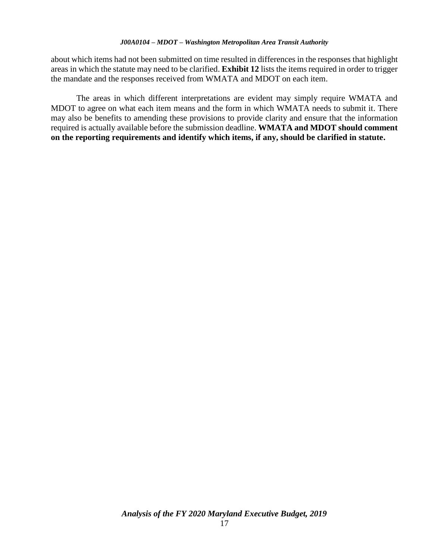about which items had not been submitted on time resulted in differences in the responses that highlight areas in which the statute may need to be clarified. **Exhibit 12** lists the items required in order to trigger the mandate and the responses received from WMATA and MDOT on each item.

The areas in which different interpretations are evident may simply require WMATA and MDOT to agree on what each item means and the form in which WMATA needs to submit it. There may also be benefits to amending these provisions to provide clarity and ensure that the information required is actually available before the submission deadline. **WMATA and MDOT should comment on the reporting requirements and identify which items, if any, should be clarified in statute.**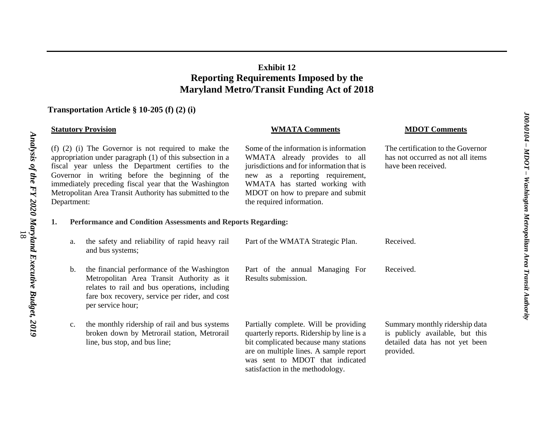### **Exhibit 12 Reporting Requirements Imposed by the Maryland Metro/Transit Funding Act of 2018**

### **Transportation Article § 10-205 (f) (2) (i)**

| <b>Statutory Provision</b>                                                                                                                                                                                                                                                                                                                                         |               |                                                                                                                                                                                                                  | <b>WMATA Comments</b>                                                                                                                                                                                                                                       | <b>MDOT Comments</b>                                                                                             |
|--------------------------------------------------------------------------------------------------------------------------------------------------------------------------------------------------------------------------------------------------------------------------------------------------------------------------------------------------------------------|---------------|------------------------------------------------------------------------------------------------------------------------------------------------------------------------------------------------------------------|-------------------------------------------------------------------------------------------------------------------------------------------------------------------------------------------------------------------------------------------------------------|------------------------------------------------------------------------------------------------------------------|
| $(f)$ (2) (i) The Governor is not required to make the<br>appropriation under paragraph $(1)$ of this subsection in a<br>fiscal year unless the Department certifies to the<br>Governor in writing before the beginning of the<br>immediately preceding fiscal year that the Washington<br>Metropolitan Area Transit Authority has submitted to the<br>Department: |               |                                                                                                                                                                                                                  | Some of the information is information<br>WMATA already provides to all<br>jurisdictions and for information that is<br>new as a reporting requirement,<br>WMATA has started working with<br>MDOT on how to prepare and submit<br>the required information. | The certification to the Governor<br>has not occurred as not all items<br>have been received.                    |
| 1.                                                                                                                                                                                                                                                                                                                                                                 |               | <b>Performance and Condition Assessments and Reports Regarding:</b>                                                                                                                                              |                                                                                                                                                                                                                                                             |                                                                                                                  |
|                                                                                                                                                                                                                                                                                                                                                                    | a.            | the safety and reliability of rapid heavy rail<br>and bus systems;                                                                                                                                               | Part of the WMATA Strategic Plan.                                                                                                                                                                                                                           | Received.                                                                                                        |
|                                                                                                                                                                                                                                                                                                                                                                    | $\mathbf b$ . | the financial performance of the Washington<br>Metropolitan Area Transit Authority as it<br>relates to rail and bus operations, including<br>fare box recovery, service per rider, and cost<br>per service hour; | Part of the annual Managing For<br>Results submission.                                                                                                                                                                                                      | Received.                                                                                                        |
|                                                                                                                                                                                                                                                                                                                                                                    | c.            | the monthly ridership of rail and bus systems<br>broken down by Metrorail station, Metrorail<br>line, bus stop, and bus line;                                                                                    | Partially complete. Will be providing<br>quarterly reports. Ridership by line is a<br>bit complicated because many stations<br>are on multiple lines. A sample report<br>was sent to MDOT that indicated<br>satisfaction in the methodology.                | Summary monthly ridership data<br>is publicly available, but this<br>detailed data has not yet been<br>provided. |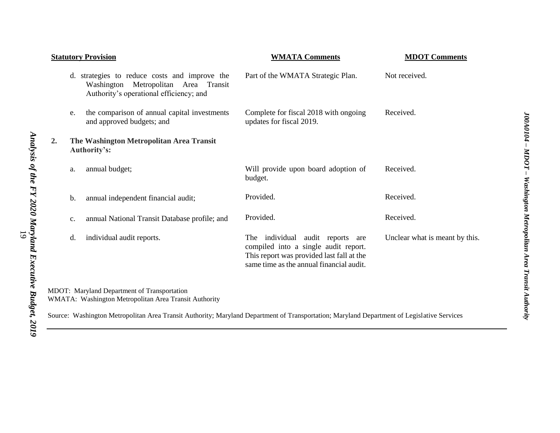|    |    | <b>Statutory Provision</b>                                                                                                       | <b>WMATA Comments</b>                                                                                                                                                | <b>MDOT Comments</b>           |
|----|----|----------------------------------------------------------------------------------------------------------------------------------|----------------------------------------------------------------------------------------------------------------------------------------------------------------------|--------------------------------|
|    |    | d. strategies to reduce costs and improve the<br>Washington Metropolitan Area Transit<br>Authority's operational efficiency; and | Part of the WMATA Strategic Plan.                                                                                                                                    | Not received.                  |
|    | e. | the comparison of annual capital investments<br>and approved budgets; and                                                        | Complete for fiscal 2018 with ongoing<br>updates for fiscal 2019.                                                                                                    | Received.                      |
| 2. |    | The Washington Metropolitan Area Transit<br>Authority's:                                                                         |                                                                                                                                                                      |                                |
|    | a. | annual budget;                                                                                                                   | Will provide upon board adoption of<br>budget.                                                                                                                       | Received.                      |
|    | b. | annual independent financial audit;                                                                                              | Provided.                                                                                                                                                            | Received.                      |
|    | c. | annual National Transit Database profile; and                                                                                    | Provided.                                                                                                                                                            | Received.                      |
|    | d. | individual audit reports.                                                                                                        | The individual audit reports<br>are<br>compiled into a single audit report.<br>This report was provided last fall at the<br>same time as the annual financial audit. | Unclear what is meant by this. |
|    |    | MDOT: Maryland Department of Transportation<br>WMATA: Washington Metropolitan Area Transit Authority                             |                                                                                                                                                                      |                                |

Source: Washington Metropolitan Area Transit Authority; Maryland Department of Transportation; Maryland Department of Legislative Services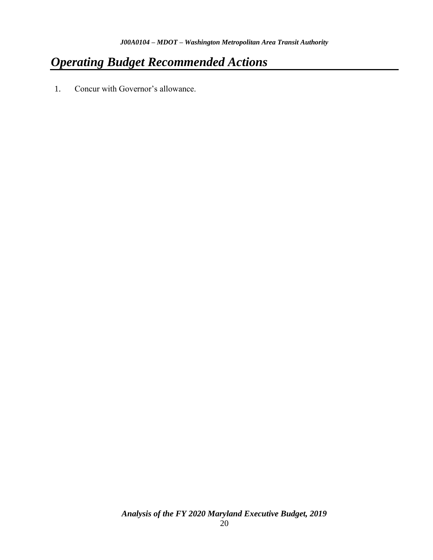# *Operating Budget Recommended Actions*

1. Concur with Governor's allowance.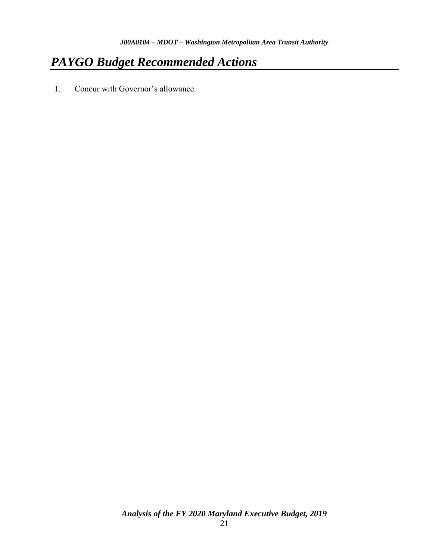# *PAYGO Budget Recommended Actions*

1. Concur with Governor's allowance.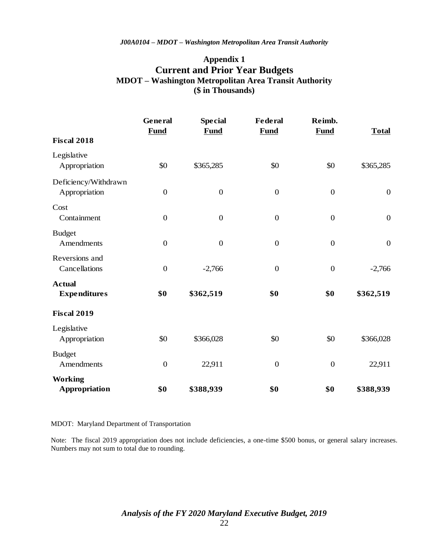### **Appendix 1 Current and Prior Year Budgets MDOT – Washington Metropolitan Area Transit Authority (\$ in Thousands)**

|                                        | General<br><b>Fund</b> | <b>Special</b><br><b>Fund</b> | <b>Federal</b><br><b>Fund</b> | Reimb.<br>Fund   | <b>Total</b>     |
|----------------------------------------|------------------------|-------------------------------|-------------------------------|------------------|------------------|
| <b>Fiscal 2018</b>                     |                        |                               |                               |                  |                  |
| Legislative<br>Appropriation           | \$0                    | \$365,285                     | \$0                           | \$0              | \$365,285        |
| Deficiency/Withdrawn<br>Appropriation  | $\boldsymbol{0}$       | $\overline{0}$                | $\boldsymbol{0}$              | $\boldsymbol{0}$ | $\boldsymbol{0}$ |
| Cost<br>Containment                    | $\boldsymbol{0}$       | $\boldsymbol{0}$              | $\boldsymbol{0}$              | $\boldsymbol{0}$ | $\boldsymbol{0}$ |
| <b>Budget</b><br>Amendments            | $\boldsymbol{0}$       | $\mathbf{0}$                  | $\boldsymbol{0}$              | $\boldsymbol{0}$ | $\boldsymbol{0}$ |
| Reversions and<br>Cancellations        | $\boldsymbol{0}$       | $-2,766$                      | $\boldsymbol{0}$              | $\boldsymbol{0}$ | $-2,766$         |
| <b>Actual</b><br><b>Expenditures</b>   | \$0                    | \$362,519                     | \$0                           | \$0              | \$362,519        |
| <b>Fiscal 2019</b>                     |                        |                               |                               |                  |                  |
| Legislative<br>Appropriation           | \$0                    | \$366,028                     | \$0                           | \$0              | \$366,028        |
| <b>Budget</b><br>Amendments            | $\boldsymbol{0}$       | 22,911                        | $\boldsymbol{0}$              | $\boldsymbol{0}$ | 22,911           |
| <b>Working</b><br><b>Appropriation</b> | \$0                    | \$388,939                     | \$0                           | \$0              | \$388,939        |

#### MDOT: Maryland Department of Transportation

Note: The fiscal 2019 appropriation does not include deficiencies, a one-time \$500 bonus, or general salary increases. Numbers may not sum to total due to rounding.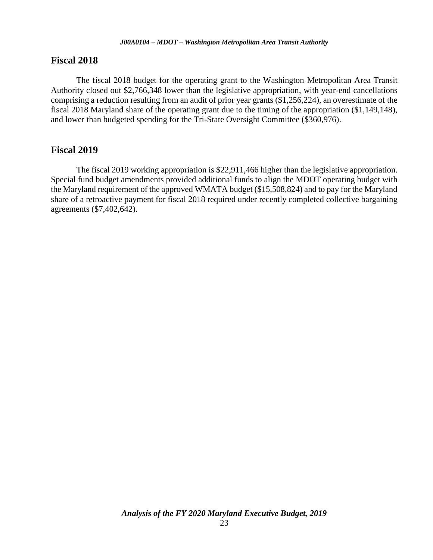#### **Fiscal 2018**

The fiscal 2018 budget for the operating grant to the Washington Metropolitan Area Transit Authority closed out \$2,766,348 lower than the legislative appropriation, with year-end cancellations comprising a reduction resulting from an audit of prior year grants (\$1,256,224), an overestimate of the fiscal 2018 Maryland share of the operating grant due to the timing of the appropriation (\$1,149,148), and lower than budgeted spending for the Tri-State Oversight Committee (\$360,976).

#### **Fiscal 2019**

The fiscal 2019 working appropriation is \$22,911,466 higher than the legislative appropriation. Special fund budget amendments provided additional funds to align the MDOT operating budget with the Maryland requirement of the approved WMATA budget (\$15,508,824) and to pay for the Maryland share of a retroactive payment for fiscal 2018 required under recently completed collective bargaining agreements (\$7,402,642).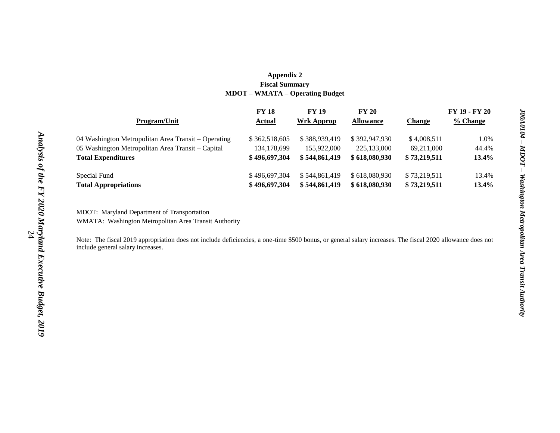#### **Appendix 2 Fiscal Summary MDOT – WMATA – Operating Budget**

|                                                     | <b>FY 18</b>  | <b>FY 19</b>  | <b>FY 20</b>     |               | FY 19 - FY 20 |
|-----------------------------------------------------|---------------|---------------|------------------|---------------|---------------|
| <b>Program/Unit</b>                                 | Actual        | Wrk Approp    | <b>Allowance</b> | <b>Change</b> | % Change      |
| 04 Washington Metropolitan Area Transit – Operating | \$362,518,605 | \$388,939,419 | \$392,947,930    | \$4,008,511   | 1.0%          |
| 05 Washington Metropolitan Area Transit – Capital   | 134,178,699   | 155,922,000   | 225,133,000      | 69,211,000    | 44.4%         |
| <b>Total Expenditures</b>                           | \$496,697,304 | \$544,861,419 | \$618,080,930    | \$73,219,511  | 13.4%         |
| Special Fund                                        | \$496,697,304 | \$544,861,419 | \$618,080,930    | \$73.219.511  | 13.4%         |
| <b>Total Appropriations</b>                         | \$496,697,304 | \$544,861,419 | \$618,080,930    | \$73,219,511  | 13.4%         |

MDOT: Maryland Department of Transportation WMATA: Washington Metropolitan Area Transit Authority

Note: The fiscal 2019 appropriation does not include deficiencies, a one-time \$500 bonus, or general salary increases. The fiscal 2020 allowance does not include general salary increases.